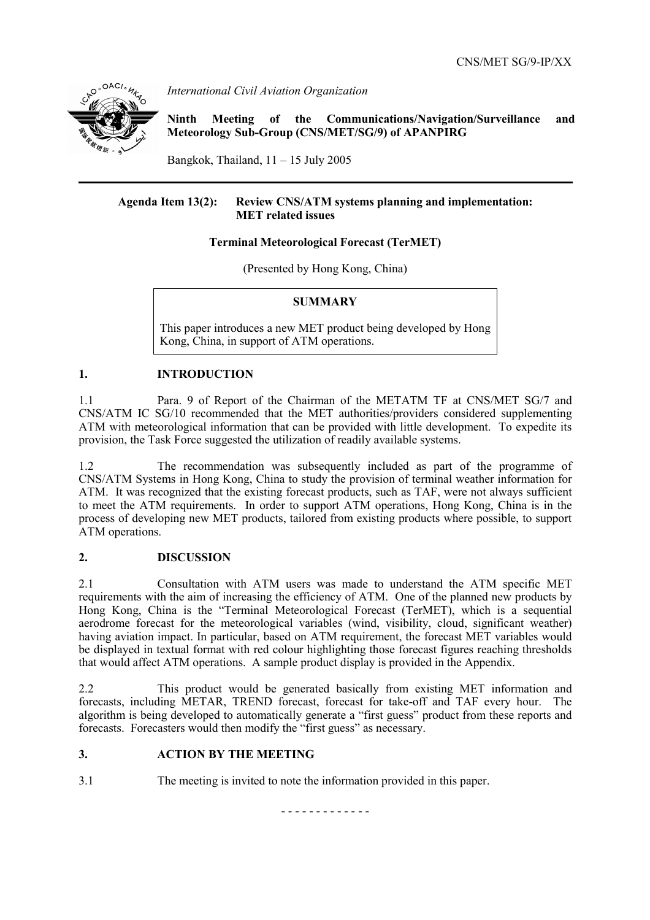

*International Civil Aviation Organization* 

**Ninth Meeting of the Communications/Navigation/Surveillance and Meteorology Sub-Group (CNS/MET/SG/9) of APANPIRG**

Bangkok, Thailand,  $11 - 15$  July 2005

### **Agenda Item 13(2): Review CNS/ATM systems planning and implementation: MET related issues**

### **Terminal Meteorological Forecast (TerMET)**

(Presented by Hong Kong, China)

### **SUMMARY**

This paper introduces a new MET product being developed by Hong Kong, China, in support of ATM operations.

## **1. INTRODUCTION**

1.1 Para. 9 of Report of the Chairman of the METATM TF at CNS/MET SG/7 and CNS/ATM IC SG/10 recommended that the MET authorities/providers considered supplementing ATM with meteorological information that can be provided with little development. To expedite its provision, the Task Force suggested the utilization of readily available systems.

1.2 The recommendation was subsequently included as part of the programme of CNS/ATM Systems in Hong Kong, China to study the provision of terminal weather information for ATM. It was recognized that the existing forecast products, such as TAF, were not always sufficient to meet the ATM requirements. In order to support ATM operations, Hong Kong, China is in the process of developing new MET products, tailored from existing products where possible, to support ATM operations.

### **2. DISCUSSION**

2.1 Consultation with ATM users was made to understand the ATM specific MET requirements with the aim of increasing the efficiency of ATM. One of the planned new products by Hong Kong, China is the "Terminal Meteorological Forecast (TerMET), which is a sequential aerodrome forecast for the meteorological variables (wind, visibility, cloud, significant weather) having aviation impact. In particular, based on ATM requirement, the forecast MET variables would be displayed in textual format with red colour highlighting those forecast figures reaching thresholds that would affect ATM operations. A sample product display is provided in the Appendix.

2.2 This product would be generated basically from existing MET information and forecasts, including METAR, TREND forecast, forecast for take-off and TAF every hour. The algorithm is being developed to automatically generate a "first guess" product from these reports and forecasts. Forecasters would then modify the "first guess" as necessary.

### **3. ACTION BY THE MEETING**

3.1 The meeting is invited to note the information provided in this paper.

- - - - - - - - - - - - -